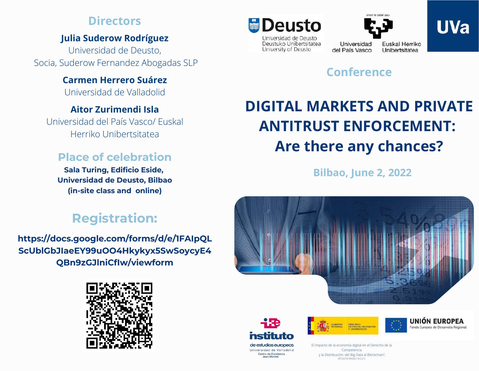## **Directors**

## **Julia Suderow Rodríguez**

Universidad de Deusto, Socia, Suderow Fernandez Abogadas SLP

## **Carmen Herrero Suárez**

Universidad de Valladolid

## **Aitor Zurimendi Isla**

Universidad del País Vasco/ Euskal Herriko Unibertsitatea

## **Place of celebration**

**Sala Turing, Edificio Eside, Universidad de Deusto, Bilbao (in-site class and online)**

## **Registration:**

**[https://docs.google.com/forms/d/e/1FAIpQL](https://docs.google.com/forms/d/e/1FAIpQLScUblGbJIaeEY99uOO4Hkykyx5SwSoycyE4QBn9zGJlniCfIw/viewform) ScUblGbJIaeEY99uOO4Hkykyx5SwSoycyE4 QBn9zGJlniCfIw/viewform**





Deustuko Unibertsitatea

University of Deusto



Universidad

Euskal Herriko del País Vasco Unibertsitatea

## **Conference**

# **DIGITAL MARKETS AND PRIVATE ANTITRUST ENFORCEMENT: Are there any chances?**

**Bilbao, June 2, 2022**





Universidad de Valladolid Centro de Excelencia **Jean Monne** 





El impacto de la economía digital en el Derecho de la Competencia y la Distribución: del Big Data al Blockchain", (RTI2018-094201-B-C21)

**UVa**